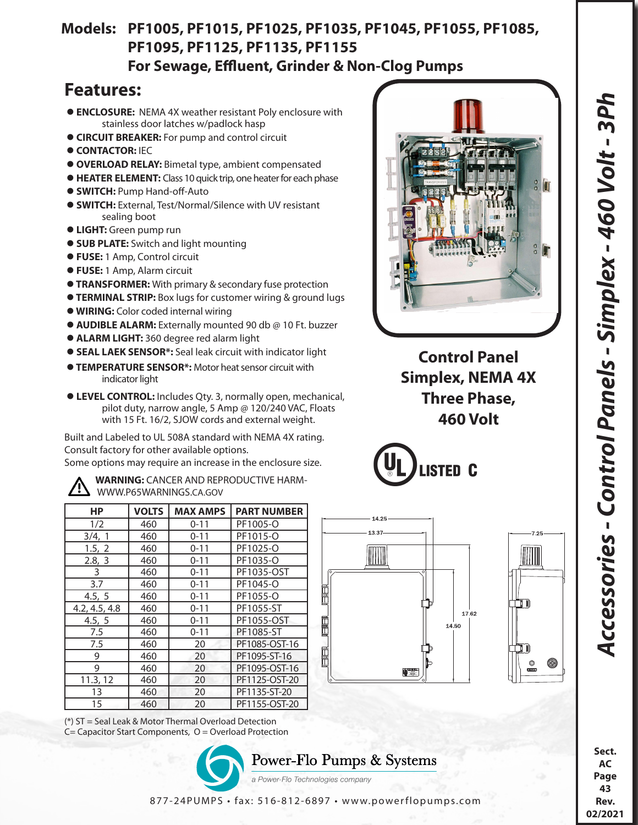## **Models: PF1005, PF1015, PF1025, PF1035, PF1045, PF1055, PF1085, PF1095, PF1125, PF1135, PF1155 For Sewage, Effluent, Grinder & Non-Clog Pumps**

## **Features:**

- **ENCLOSURE:** NEMA 4X weather resistant Poly enclosure with stainless door latches w/padlock hasp
- **CIRCUIT BREAKER:** For pump and control circuit
- **CONTACTOR: IEC**
- **OVERLOAD RELAY:** Bimetal type, ambient compensated
- **HEATER ELEMENT:** Class 10 quick trip, one heater for each phase
- **SWITCH:** Pump Hand-off-Auto
- **SWITCH:** External, Test/Normal/Silence with UV resistant sealing boot
- **LIGHT:** Green pump run
- **SUB PLATE:** Switch and light mounting
- **FUSE:** 1 Amp, Control circuit
- **FUSE:** 1 Amp, Alarm circuit
- **TRANSFORMER:** With primary & secondary fuse protection
- **TERMINAL STRIP:** Box lugs for customer wiring & ground lugs
- **WIRING:** Color coded internal wiring
- **AUDIBLE ALARM:** Externally mounted 90 db @ 10 Ft. buzzer
- **ALARM LIGHT:** 360 degree red alarm light
- **SEAL LAEK SENSOR\*:** Seal leak circuit with indicator light
- **TEMPERATURE SENSOR\*:** Motor heat sensor circuit with indicator light
- **LEVEL CONTROL:** Includes Qty. 3, normally open, mechanical, pilot duty, narrow angle, 5 Amp @ 120/240 VAC, Floats with 15 Ft. 16/2, SJOW cords and external weight.

Built and Labeled to UL 508A standard with NEMA 4X rating. Consult factory for other available options. Some options may require an increase in the enclosure size.



 **WARNING:** CANCER AND REPRODUCTIVE HARM- WWW.P65WARNINGS.CA.GOV

| НP            | <b>VOLTS</b> | <b>MAX AMPS</b> | <b>PART NUMBER</b> |
|---------------|--------------|-----------------|--------------------|
| 1/2           | 460          | $0 - 11$        | PF1005-O           |
| 3/4, 1        | 460          | $0 - 11$        | PF1015-O           |
| 1.5, 2        | 460          | $0 - 11$        | PF1025-O           |
| 2.8, 3        | 460          | $0 - 11$        | PF1035-O           |
| 3             | 460          | $0 - 11$        | PF1035-OST         |
| 3.7           | 460          | $0 - 11$        | PF1045-O           |
| 4.5, 5        | 460          | $0 - 11$        | PF1055-O           |
| 4.2, 4.5, 4.8 | 460          | $0 - 11$        | PF1055-ST          |
| 4.5, 5        | 460          | $0 - 11$        | PF1055-OST         |
| 7.5           | 460          | $0 - 11$        | PF1085-ST          |
| 7.5           | 460          | 20              | PF1085-OST-16      |
| 9             | 460          | 20              | PF1095-ST-16       |
| 9             | 460          | 20              | PF1095-OST-16      |
| 11.3, 12      | 460          | 20              | PF1125-OST-20      |
| 13            | 460          | 20              | PF1135-ST-20       |
| 15            | 460          | 20              | PF1155-OST-20      |

(\*) ST = Seal Leak & Motor Thermal Overload Detection C= Capacitor Start Components, O = Overload Protection





**Control Panel Simplex, NEMA 4X Three Phase, 460 Volt**







**Sect. AC Page 43 Rev. 02/2021**